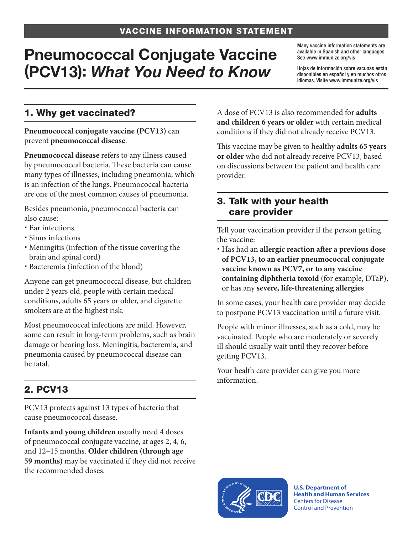# Pneumococcal Conjugate Vaccine (PCV13): *What You Need to Know*

Many vaccine information statements are available in Spanish and other languages. See [www.immunize.org/vis](http://www.immunize.org/vis)

Hojas de información sobre vacunas están disponibles en español y en muchos otros idiomas. Visite [www.immunize.org/vis](http://www.immunize.org/vis)

### 1. Why get vaccinated?

**Pneumococcal conjugate vaccine (PCV13)** can prevent **pneumococcal disease**.

**Pneumococcal disease** refers to any illness caused by pneumococcal bacteria. These bacteria can cause many types of illnesses, including pneumonia, which is an infection of the lungs. Pneumococcal bacteria are one of the most common causes of pneumonia.

Besides pneumonia, pneumococcal bacteria can also cause:

- Ear infections
- Sinus infections
- Meningitis (infection of the tissue covering the brain and spinal cord)
- Bacteremia (infection of the blood)

Anyone can get pneumococcal disease, but children under 2 years old, people with certain medical conditions, adults 65 years or older, and cigarette smokers are at the highest risk.

Most pneumococcal infections are mild. However, some can result in long-term problems, such as brain damage or hearing loss. Meningitis, bacteremia, and pneumonia caused by pneumococcal disease can be fatal.

## 2. PCV13

PCV13 protects against 13 types of bacteria that cause pneumococcal disease.

**Infants and young children** usually need 4 doses of pneumococcal conjugate vaccine, at ages 2, 4, 6, and 12–15 months. **Older children (through age 59 months)** may be vaccinated if they did not receive the recommended doses.

A dose of PCV13 is also recommended for **adults and children 6 years or older** with certain medical conditions if they did not already receive PCV13.

This vaccine may be given to healthy **adults 65 years or older** who did not already receive PCV13, based on discussions between the patient and health care provider.

#### 3. Talk with your health care provider

Tell your vaccination provider if the person getting the vaccine:

 Has had an **allergic reaction after a previous dose of PCV13, to an earlier pneumococcal conjugate vaccine known as PCV7, or to any vaccine containing diphtheria toxoid** (for example, DTaP), or has any **severe, life-threatening allergies**

In some cases, your health care provider may decide to postpone PCV13 vaccination until a future visit.

People with minor illnesses, such as a cold, may be vaccinated. People who are moderately or severely ill should usually wait until they recover before getting PCV13.

Your health care provider can give you more information.



**U.S. Department of Health and Human Services**  Centers for Disease Control and Prevention